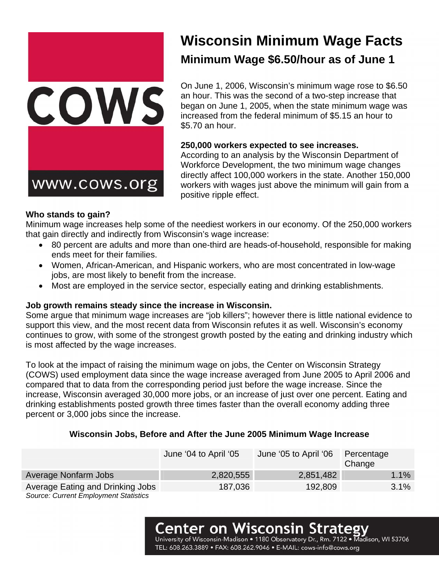

# **Wisconsin Minimum Wage Facts Minimum Wage \$6.50/hour as of June 1**

On June 1, 2006, Wisconsin's minimum wage rose to \$6.50 an hour. This was the second of a two-step increase that began on June 1, 2005, when the state minimum wage was increased from the federal minimum of \$5.15 an hour to \$5.70 an hour.

## **250,000 workers expected to see increases.**

According to an analysis by the Wisconsin Department of Workforce Development, the two minimum wage changes directly affect 100,000 workers in the state. Another 150,000 workers with wages just above the minimum will gain from a

## **Who stands to gain?**

Minimum wage increases help some of the neediest workers in our economy. Of the 250,000 workers that gain directly and indirectly from Wisconsin's wage increase:

- 80 percent are adults and more than one-third are heads-of-household, responsible for making ends meet for their families.
- Women, African-American, and Hispanic workers, who are most concentrated in low-wage jobs, are most likely to benefit from the increase.
- Most are employed in the service sector, especially eating and drinking establishments.

## **Job growth remains steady since the increase in Wisconsin.**

Some argue that minimum wage increases are "job killers"; however there is little national evidence to support this view, and the most recent data from Wisconsin refutes it as well. Wisconsin's economy continues to grow, with some of the strongest growth posted by the eating and drinking industry which is most affected by the wage increases.

To look at the impact of raising the minimum wage on jobs, the Center on Wisconsin Strategy (COWS) used employment data since the wage increase averaged from June 2005 to April 2006 and compared that to data from the corresponding period just before the wage increase. Since the increase, Wisconsin averaged 30,000 more jobs, or an increase of just over one percent. Eating and drinking establishments posted growth three times faster than the overall economy adding three percent or 3,000 jobs since the increase.

# **Wisconsin Jobs, Before and After the June 2005 Minimum Wage Increase**

|                                              | June '04 to April '05 | June '05 to April '06 | Percentage<br>Change |
|----------------------------------------------|-----------------------|-----------------------|----------------------|
| Average Nonfarm Jobs                         | 2,820,555             | 2,851,482             | $1.1\%$              |
| Average Eating and Drinking Jobs             | 187,036               | 192,809               | 3.1%                 |
| <b>Source: Current Employment Statistics</b> |                       |                       |                      |

# Center on Wisconsin

University of Wisconsin-Madison . 1180 Observatory Dr., Rm. Madison, WI 53706 TEL: 608.263.3889 · FAX: 608.262.9046 · E-MAIL: cows-info@cows.org